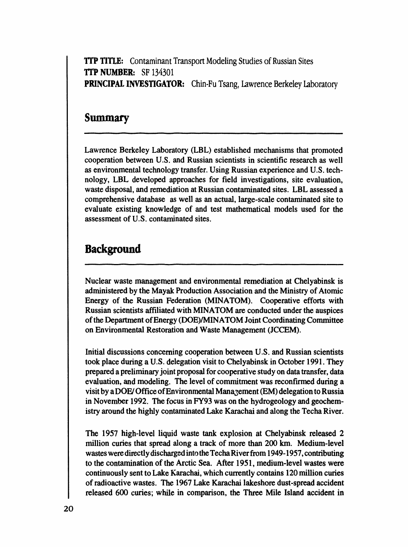**TTP TITLE:** Contaminant Transport Modeling Studies of Russian Sites *'***ITP NUMBER:** SF **1**3**4**30**1 P**RI**NC**I**P**AL INVE**S**TIG**ATOR:** Chin-**F**u Tsang, Lawrence Berkeley Laboratory

i i,i i i

# **Su**m**m**ary

L**a**wrence Berkeley Labor**at**ory (LBL) es**t**ablished mech**a**nisms that promoted cooperation between U.S. and Russian scientists in scientific research as well as environmental technology transfer. Using Russian experience and U.S. technology, LBL developed approaches for field investigations, site evaluation, waste disposal, and remediation at Russian contaminated sites. LBL assessed a comprehensive database as well as an actual, large-scale contaminated site to evaluate existing knowledge of and test mathematical models used for the assessment of U.S. contaminated sites.

# **Background**

i

N**u**clear **w**aste **m**an**a**g**e**me**n**t an**d** e**nv**iro**n**me**n**tal reme**d**i**a**t**i**o**n a**t Chel**ya**bi**ns**k is administered by the Mayak Production Association **a**nd the Ministry of Atomic **E**nergy of the Russian Federation (MINATOM). Cooperative efforts with Russian scientists affiliated with MINATOM are conducted under the auspices of the Department of Energy (DOE)*/*MINATOM Joint Coordinating Committee on Environmen**t**al Restoration and Waste Management (JC*C***E**M).

I**n**itial **d**i**s**c**u**ssio**ns** c**on**cerni**n**g cooper**a**tio**n** betwee**n** U.S. and R**us**sian scie**n**tists took place during a U.S. delegation visit to Chelyabinsk in October 1991. They pr**e**pared a preliminary joint proposal for cooperative study on data tr**a**nsfer, data evaluation, and modeling. The level of commitment was reconfirmed during a visit by a DOE*/*Of**fi**ce of Env**ir**onmental Mana*g*ement (EM) delegation to Russia in November 1992. The focus in FY93 was on the hydrogeology and geochemistry around the highly cont**a**minated Lake Karachai and along the Techa River.

Th**e** 1957 h**i**gh-**le**v**e**l l**i**quid w**a**s**t**e **tank** ex**p**lo**s**io**n** at Chel**y**abinsk re**l**e**ase**d **2** million cu**ri**es that spread along a track of more than 200 km. Medium-level wastes were directly discharged into the Teeha River from 1949-1957, contributing to the contamination of the Arctic Sea. After 1951, medi**u**m-level wastes were continuously sent to Lake K**a**rachai, which currently contains 120 million curies of radioactive wastes. The 1967 Lake Karachai lake**s**hore dust-spread **a**ccident released 600 curies; while in comparison, the Three Mile Island accident in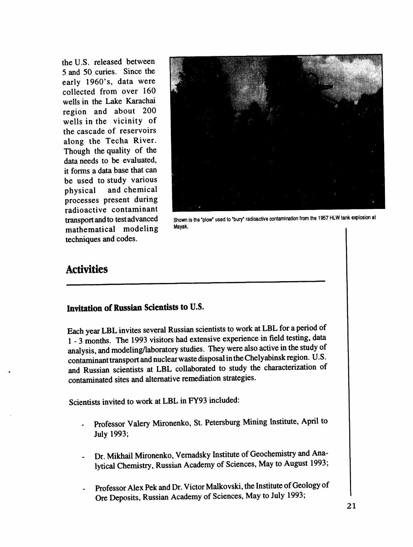the U.S. released between 5 and 50 curies. Since the early 1960's, data were collected from over 160 wells in the Lake Karachai region and about 200 wells in the vicinity of the cascade of reservoirs along the Techa River. Though the quality of the data needs to be evaluated, it forms a data base that can be used to study various physical and chemical processes present during radioactive contaminant **mathematical** modeling techniques and c**o**des.



**transport and to test advanced** Shown is the 'plow' used to 'bury' radioactive contamination from the 1957 HLW tank explosion at me of eling

# A**ctivities**

### Invitation of Russian Scie**ntists to U.S**.

**Each y**e**ar LBL invites sev**e**r**al **Russi**an **scientists to work at LBL for ap**e**riod of 1 -** 3 m**o**n**ths. Th**e **19**93 **visitors had** e**xt**e**nsiv**e e**xp**erie**nc**e **in fi**e**ld testing, da**ta an**alysis,** an**d** m**od**e**ling***/***laboratory studi**e**s. Th**e**y w**e**r**e al**so activ**e **in th**e **study of** c**ontamin**an**t tr**an**spo**rt **andnucl**e**arw**as**t**e **disposal in th**eC**h**e**lyabinsk r**e**gion. U.S.** , an**d** R**us**sian **s**cienti**s**ts **at** LBL coll**a**b**ora**te**d** to st**udy** the c**h**aracte**ri**z**a**ti**on of** cont**a**minated sit**e**s and **a**lt**e**rnative remedi**a**tion str**a**tegi**e**s.

Scientists i**n**vited t**o** work at L**B**L in FY93 include**d:**

- Professor Valery Mironenko, St. Petersburg Mining Institute, April to July 1993;
- Dr. Mikhail Mironenko, Vernadsky Institute of Geochemistry and Analyrical Chemistry, Russian Academy of Sciences, May to August 1993;
- Professor Alex Pek and Dr. Victor Malkovski, the Institute of Geology of Ore Deposits, Russian Academy of Sciences, May to July 1993;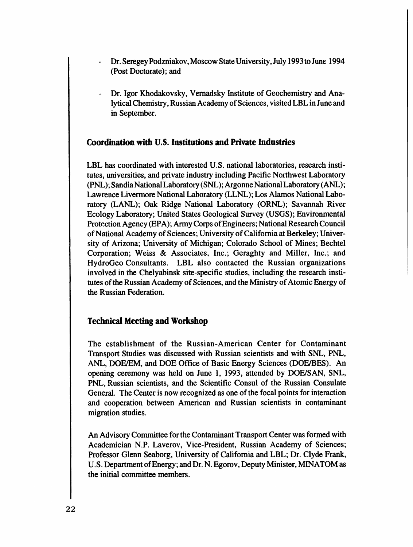- Dr. Seregey Podzniakov, Moscow State University, July 1993 to June 1994 (Post Doctorate); and
- Dr. Igor Khodakovsky, Vernadsky Institute of Geochemistry and Analytical Chemistry, Russian Academy of Sciences, visited LBL in June and in September.

## Coordination with U.S. Institutions and Private Industries

LBL has coordinated with interested U.S. national laboratories, research institutes, universities, and private industry including Pacific Northwest Laboratory (PNL); Sandia National Laboratory (SNL); Argonne National Laboratory (ANL); Lawrence Livermore National Laboratory (LLNL); Los Alamos National Laboratory (LANL); Oak Ridge National Laboratory (ORNL); Savannah River Ecology Laboratory; United States Geological Survey (USGS); Environmental Protection Agency (EPA); Army Corps of Engineers; National Research Council of National Academy of Sciences; University of California at Berkeley; University of Arizona; University of Michigan; Colorado School of Mines; Bechtel Corporation; Weiss & Associates, Inc.; Geraghty and Miller, Inc.; and HydroGeo Consultants. LBL also contacted the Russian organizations involved in the Chelyabinsk site-specific studies, including the research institutes of the Russian Academy of Sciences, and the Ministry of Atomic Energy of the Russian Federation.

### **Technical Meeting and Workshop**

The establishment of the Russian-American Center for Contaminant Transport Studies was discussed with Russian scientists and with SNL, PNL, ANL, DOE/EM, and DOE Office of Basic Energy Sciences (DOE/BES). An opening ceremony was held on June 1, 1993, attended by DOE/SAN, SNL, PNL, Russian scientists, and the Scientific Consul of the Russian Consulate General. The Center is now recognized as one of the focal points for interaction and cooperation between American and Russian scientists in contaminant migration studies.

An Advisory Committee for the Contaminant Transport Center was formed with Academician N.P. Laverov, Vice-President, Russian Academy of Sciences; Professor Glenn Seaborg, University of California and LBL; Dr. Clyde Frank, U.S. Department of Energy; and Dr. N. Egorov, Deputy Minister, MINATOM as the initial committee members.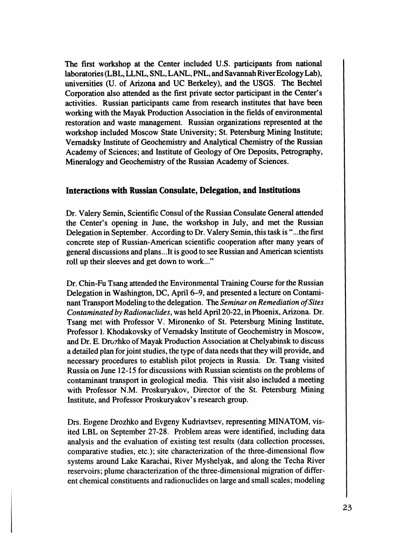**T**he **fi**rs**t wo**rk**s**ho**p** at th**e Ce**nt**er inclu**d**ed U**.**S**. **p**art**ic**i**pa**n**ts** fro**m na**ti**ona**l l**a**bor**a**to**rie**s (LBL, LLNL, SNL**,** LANL, PNL**,** and Savannah Riv**e**r E**c**ology Lab)*,* univ**e**rsiti**e**s (U. of Arizon**a** and UC B**e**rk**e**l**e**y)*,* and th**e** U**S**GS. Th**e** B**ec**ht**e**l Corpor**a**tion also att**e**nd**e**d **a**s th**e** first privat**e** s**ec**tor parti**c**ipant in th**e** C**e**nt**e**r**'**s **ac**tiviti**e**s. Russi**a**n parti**c**ipants cam**e** from r**e**s**e**ar**c**h institut**e**s that h**a**v**e** b**ee**n working with th**e** M**a**y**a**k Produ**c**tion Asso**c**i**a**tion in th**e** fi**e**lds of **e**nvironm**e**ntal r**e**storation **a**nd wast**e** manag**e**m**e**nt. Russian organizations r**e**pr**e**s**e**nt**e**d **a**t th**e** workshop in**c**lud**e**d Mos**c**ow **S**t**a**t**e** Univ**e**rsity; **S**t. P**e**t**e**rsburg Mining Institut**e**; Vema**d**sky I**n**stitute **of** Geochem**i**s**t**ry an**d** A**n**al**yti**cal **C**hemistry o**f t**he R**uss**ian Academy of Sciences; and Institute of Geology of Ore Deposits, Petrography, Mineralogy and Geochemistry of the Russian Academy of Sciences.

#### **Interactions with Russian Consulate, Delegation, and** In**stitutio**ns

**D**r. Valery Semin, Sc**i**ent**ifi**c Co**n**s**u**l of the Russian Cons**u**l**a**te Ge**n**eral attended the Center's opening in June, the workshop in July, and met the Russian Delegation in September. According to Dr. Valery Semin, this task is "...the first concrete step of Russian-American scientific cooperation after many years of general discussions and plans...It is good to see Russian and American scientists roll up their sleeves and get down to work..."

Dr. Chin-Fu **T**sang **a**tten**d**e**d** the **E**nvironme**n**tal Traini**n**g Course for the Russian Delegation in Washington, DC, April 6-9, and presented a lecture on Contaminant Transport Modeling to the delegation. The *Seminar on Remediation of Sites Conta*m*inated by Radionuclides*, was held April 20-22, in Phoenix, Arizona. Dr. Tsang met with Professor V. Mironenko of St. Petersburg Mining Institute, Professor 1.Khodakovsky of Vernadsky Institute of Geochemistry in Moscow, and Dr. E. Drozhko of Mayak Production Association at Chelyabinsk to discuss a detailed plan for joint s**tu**dies, the type of data needs that they will provide, and necessary procedures to establish pilot projects in Russia. Dr. Tsang visited Russia on June 12-**1**5 for discussions with Russian scientists on the problems of contaminant transport in geological media. This visit also included a meeting with Professor N.M. Proskuryakov, Director of the St. Petersburg Mining Institute, and Professor Proskuryakov's rese**ar**ch group.

Drs. E**u**gene Drozhko **a**nd Evgeny Ku**d**ri**a**vtse**v**, representing MINATOM, visited LBL on September 27-28. Problem areas were identified, including data analysis and the evaluation of existing test results (data collection processes, compa**r**ative studies, etc.); site characterization of the three-dimensional flow systems around Lake Karachai, River Myshelyak, and along the Techa River reservoirs; plume characterization of the three-dimensional migration of different chemical constituents and radionuclides on large and small scales; modeling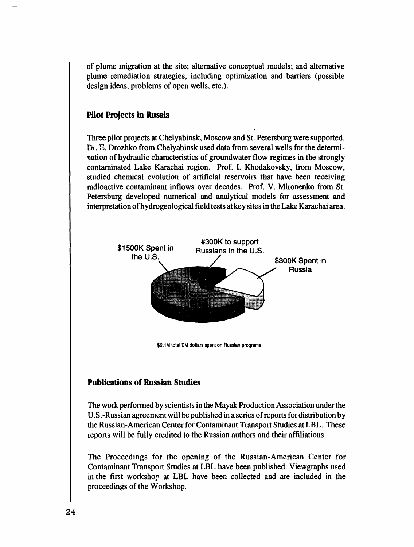**o**f pl**u**me migr**a**tion at the site; alternative c**o**nceptual models; and alternative plume remediation strategies, including optimization and barriers (possible design ideas, problems of open wells, etc.).

### **Pilot Projects in Russia**

Three pilot projects at Chelyabinsk, Moscow and St. Petersburg were supported. Dr. E. Drozhko from Chelyabinsk used data from several wells for the determination of hydraulic characteristics of groundwater flow regimes in the strongly contaminated Lake Karachai region. Prof. I. Khodakovsky, from Moscow, studied chemical evolution of artificial reservoirs that have been receiving radioactive contaminant inflows over decades. Prof. V. Mironenko from St. Petersburg developed numerical and analytical models for assessment and interpretation of hydrogeological field tests at key sites in the Lake Karachai area.



## Publications of Russian Studies

The work perf**o**rmed by scientists in the Mayak Production Association under the U.S.-Russian agreement will be published in a series of reports for distribution by the Russian-American Center for Contaminant Transport Studies at LBL. These reports will be fully credited to the Russian authors and their affiliations.

The Proceedings for the opening of the Russian-American Center for Contaminant Transport Studies at LBL have been published. Viewgraphs used in the first workshop at LBL have been collected and are included in the proceedings of the Workshop.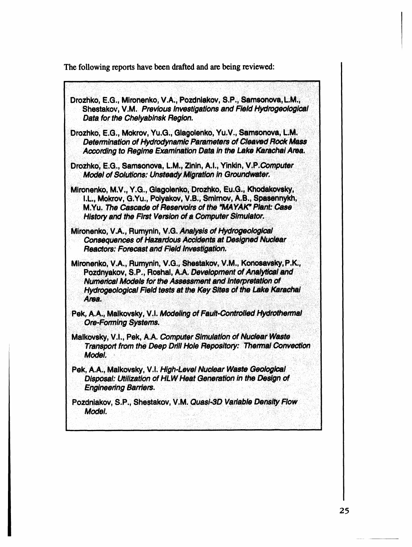The following reports have been drafted and are being reviewed:

Drozhko, E.G., Mironenko, V.A., Pozdniakov, S.P., Samsonova, L.M., Shestakov, V.M. Previous Investigations and Field Hydrogeological Data for the Chelyabinsk Region. Drozhko, E.G., Mokrov, Yu.G., Glagolenko, Yu.V., Samsonova, L.M. Determination of Hydrodynamic Parameters of Cleaved Rock Mass According to Regime Examination Data in the Lake Karachai Area. Drozhko, E.G., Samsonova, L.M., Zinin, A.I., Yinkin, V.P.Computer Model of Solutions: Unsteady Migration in Groundwater. Mironenko, M.V., Y.G., Glagolenko, Drozhko, Eu.G., Khodakovsky, I.L., Mokrov, G.Yu., Polyakov, V.B., Smirnov, A.B., Spasennykh, M.Yu. The Cascade of Reservoirs of the "MAYAK" Plant: Case History and the First Version of a Computer Simulator. Mironenko, V.A., Rumynin, V.G. Analysis of Hydrogeological Consequences of Hazardous Accidents at Designed Nuclear Reactors: Forecast and Field Investigation. Mironenko, V.A., Rumynin, V.G., Shestakov, V.M., Konosavsky, P.K., Pozdnyakov, S.P., Roshal, A.A. Development of Analytical and Numerical Models for the Assessment and Interpretation of Hydrogeological Field tests at the Key Sites of the Lake Karachai Area. Pek, A.A., Malkovsky, V.I. Modeling of Fault-Controlled Hydrothermal **Ore-Forming Systems.** Malkovsky, V.I., Pek, A.A. Computer Simulation of Nuclear Waste Transport from the Deep Drill Hole Repository: Thermal Convection Model. Pek, A.A., Malkovsky, V.I. High-Level Nuclear Waste Geological Disposal: Utilization of HLW Heat Generation in the Design of **Engineering Barriers.** Pozdniakov, S.P., Shestakov, V.M. Quasi-3D Variable Density Flow Model.